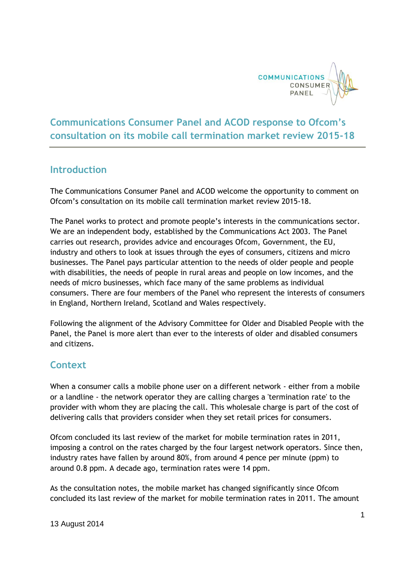

## **Communications Consumer Panel and ACOD response to Ofcom's consultation on its mobile call termination market review 2015-18**

## **Introduction**

The Communications Consumer Panel and ACOD welcome the opportunity to comment on Ofcom's consultation on its mobile call termination market review 2015-18.

The Panel works to protect and promote people's interests in the communications sector. We are an independent body, established by the Communications Act 2003. The Panel carries out research, provides advice and encourages Ofcom, Government, the EU, industry and others to look at issues through the eyes of consumers, citizens and micro businesses. The Panel pays particular attention to the needs of older people and people with disabilities, the needs of people in rural areas and people on low incomes, and the needs of micro businesses, which face many of the same problems as individual consumers. There are four members of the Panel who represent the interests of consumers in England, Northern Ireland, Scotland and Wales respectively.

Following the alignment of the Advisory Committee for Older and Disabled People with the Panel, the Panel is more alert than ever to the interests of older and disabled consumers and citizens.

## **Context**

When a consumer calls a mobile phone user on a different network - either from a mobile or a landline - the network operator they are calling charges a 'termination rate' to the provider with whom they are placing the call. This wholesale charge is part of the cost of delivering calls that providers consider when they set retail prices for consumers.

Ofcom concluded its last review of the market for mobile termination rates in 2011, imposing a control on the rates charged by the four largest network operators. Since then, industry rates have fallen by around 80%, from around 4 pence per minute (ppm) to around 0.8 ppm. A decade ago, termination rates were 14 ppm.

As the consultation notes, the mobile market has changed significantly since Ofcom concluded its last review of the market for mobile termination rates in 2011. The amount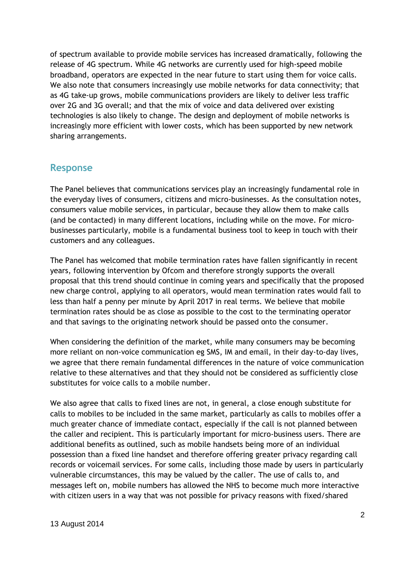of spectrum available to provide mobile services has increased dramatically, following the release of 4G spectrum. While 4G networks are currently used for high-speed mobile broadband, operators are expected in the near future to start using them for voice calls. We also note that consumers increasingly use mobile networks for data connectivity; that as 4G take-up grows, mobile communications providers are likely to deliver less traffic over 2G and 3G overall; and that the mix of voice and data delivered over existing technologies is also likely to change. The design and deployment of mobile networks is increasingly more efficient with lower costs, which has been supported by new network sharing arrangements.

## **Response**

The Panel believes that communications services play an increasingly fundamental role in the everyday lives of consumers, citizens and micro-businesses. As the consultation notes, consumers value mobile services, in particular, because they allow them to make calls (and be contacted) in many different locations, including while on the move. For microbusinesses particularly, mobile is a fundamental business tool to keep in touch with their customers and any colleagues.

The Panel has welcomed that mobile termination rates have fallen significantly in recent years, following intervention by Ofcom and therefore strongly supports the overall proposal that this trend should continue in coming years and specifically that the proposed new charge control, applying to all operators, would mean termination rates would fall to less than half a penny per minute by April 2017 in real terms. We believe that mobile termination rates should be as close as possible to the cost to the terminating operator and that savings to the originating network should be passed onto the consumer.

When considering the definition of the market, while many consumers may be becoming more reliant on non-voice communication eg SMS, IM and email, in their day-to-day lives, we agree that there remain fundamental differences in the nature of voice communication relative to these alternatives and that they should not be considered as sufficiently close substitutes for voice calls to a mobile number.

We also agree that calls to fixed lines are not, in general, a close enough substitute for calls to mobiles to be included in the same market, particularly as calls to mobiles offer a much greater chance of immediate contact, especially if the call is not planned between the caller and recipient. This is particularly important for micro-business users. There are additional benefits as outlined, such as mobile handsets being more of an individual possession than a fixed line handset and therefore offering greater privacy regarding call records or voicemail services. For some calls, including those made by users in particularly vulnerable circumstances, this may be valued by the caller. The use of calls to, and messages left on, mobile numbers has allowed the NHS to become much more interactive with citizen users in a way that was not possible for privacy reasons with fixed/shared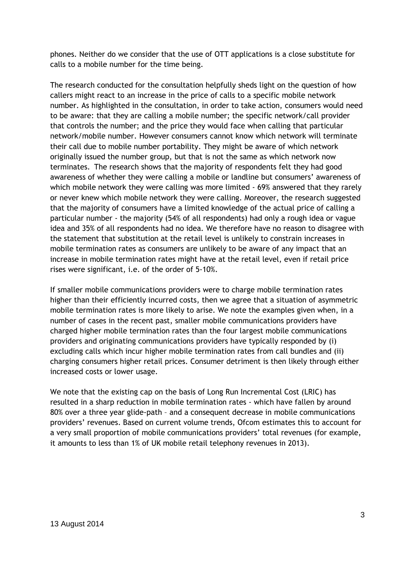phones. Neither do we consider that the use of OTT applications is a close substitute for calls to a mobile number for the time being.

The research conducted for the consultation helpfully sheds light on the question of how callers might react to an increase in the price of calls to a specific mobile network number. As highlighted in the consultation, in order to take action, consumers would need to be aware: that they are calling a mobile number; the specific network/call provider that controls the number; and the price they would face when calling that particular network/mobile number. However consumers cannot know which network will terminate their call due to mobile number portability. They might be aware of which network originally issued the number group, but that is not the same as which network now terminates. The research shows that the majority of respondents felt they had good awareness of whether they were calling a mobile or landline but consumers' awareness of which mobile network they were calling was more limited - 69% answered that they rarely or never knew which mobile network they were calling. Moreover, the research suggested that the majority of consumers have a limited knowledge of the actual price of calling a particular number - the majority (54% of all respondents) had only a rough idea or vague idea and 35% of all respondents had no idea. We therefore have no reason to disagree with the statement that substitution at the retail level is unlikely to constrain increases in mobile termination rates as consumers are unlikely to be aware of any impact that an increase in mobile termination rates might have at the retail level, even if retail price rises were significant, i.e. of the order of 5-10%.

If smaller mobile communications providers were to charge mobile termination rates higher than their efficiently incurred costs, then we agree that a situation of asymmetric mobile termination rates is more likely to arise. We note the examples given when, in a number of cases in the recent past, smaller mobile communications providers have charged higher mobile termination rates than the four largest mobile communications providers and originating communications providers have typically responded by (i) excluding calls which incur higher mobile termination rates from call bundles and (ii) charging consumers higher retail prices. Consumer detriment is then likely through either increased costs or lower usage.

We note that the existing cap on the basis of Long Run Incremental Cost (LRIC) has resulted in a sharp reduction in mobile termination rates - which have fallen by around 80% over a three year glide-path – and a consequent decrease in mobile communications providers' revenues. Based on current volume trends, Ofcom estimates this to account for a very small proportion of mobile communications providers' total revenues (for example, it amounts to less than 1% of UK mobile retail telephony revenues in 2013).